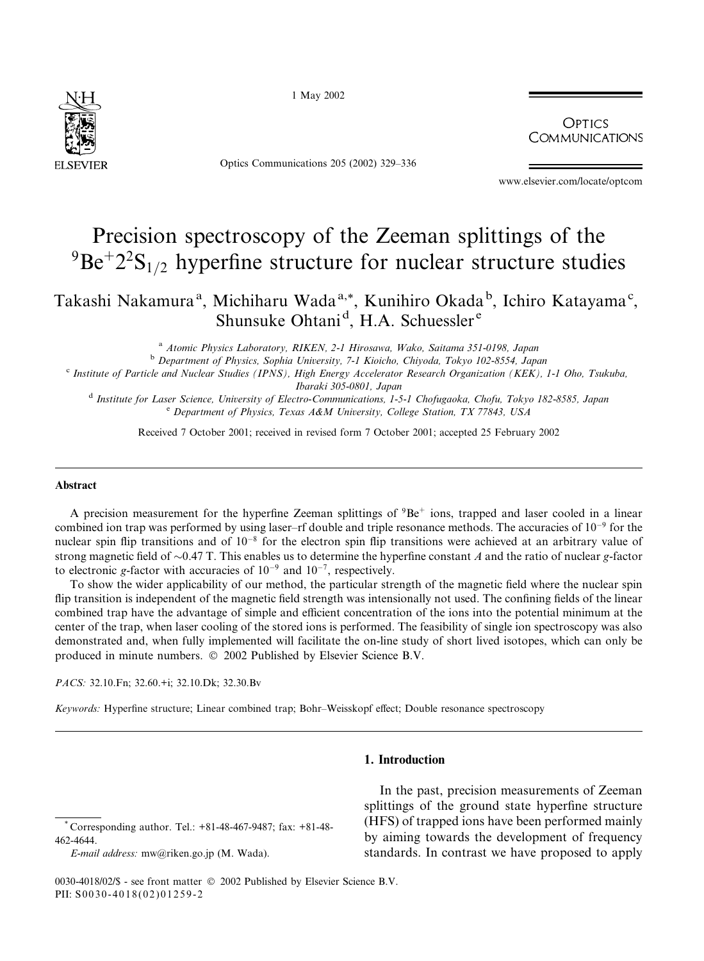

1 May 2002

Optics Communications 205 (2002) 329–336

OPTICS **COMMUNICATIONS** 

www.elsevier.com/locate/optcom

# Precision spectroscopy of the Zeeman splittings of the  $9^9$ Be<sup>+</sup>2<sup>2</sup>S<sub>1/2</sub> hyperfine structure for nuclear structure studies

Takashi Nakamura<sup>a</sup>, Michiharu Wada<sup>a,\*</sup>, Kunihiro Okada<sup>b</sup>, Ichiro Katayama<sup>c</sup>, Shunsuke Ohtani<sup>d</sup>, H.A. Schuessler<sup>e</sup>

> <sup>a</sup> Atomic Physics Laboratory, RIKEN, 2-1 Hirosawa, Wako, Saitama 351-0198, Japan <sup>b</sup> Department of Physics, Sophia University, 7-1 Kioicho, Chiyoda, Tokyo 102-8554, Japan

<sup>c</sup> Institute of Particle and Nuclear Studies (IPNS), High Energy Accelerator Research Organization (KEK), 1-1 Oho, Tsukuba, Ibaraki 305-0801, Japan

<sup>d</sup> Institute for Laser Science, University of Electro-Communications, 1-5-1 Chofugaoka, Chofu, Tokyo 182-8585, Japan <sup>e</sup> Department of Physics, Texas A&M University, College Station, TX 77843, USA

Received 7 October 2001; received in revised form 7 October 2001; accepted 25 February 2002

# Abstract

A precision measurement for the hyperfine Zeeman splittings of  ${}^{9}Be^+$  ions, trapped and laser cooled in a linear combined ion trap was performed by using laser–rf double and triple resonance methods. The accuracies of  $10^{-9}$  for the nuclear spin flip transitions and of  $10^{-8}$  for the electron spin flip transitions were achieved at an arbitrary value of strong magnetic field of  $\sim 0.47$  T. This enables us to determine the hyperfine constant A and the ratio of nuclear g-factor to electronic g-factor with accuracies of  $10^{-9}$  and  $10^{-7}$ , respectively.

To show the wider applicability of our method, the particular strength of the magnetic field where the nuclear spin flip transition is independent of the magnetic field strength was intensionally not used. The confining fields of the linear combined trap have the advantage of simple and efficient concentration of the ions into the potential minimum at the center of the trap, when laser cooling of the stored ions is performed. The feasibility of single ion spectroscopy was also demonstrated and, when fully implemented will facilitate the on-line study of short lived isotopes, which can only be produced in minute numbers.  $© 2002$  Published by Elsevier Science B.V.

PACS: 32.10.Fn; 32.60.+i; 32.10.Dk; 32.30.Bv

Keywords: Hyperfine structure; Linear combined trap; Bohr–Weisskopf effect; Double resonance spectroscopy

# 1. Introduction

In the past, precision measurements of Zeeman splittings of the ground state hyperfine structure (HFS) of trapped ions have been performed mainly by aiming towards the development of frequency standards. In contrast we have proposed to apply

<sup>\*</sup> Corresponding author. Tel.: +81-48-467-9487; fax: +81-48- 462-4644.

E-mail address: mw@riken.go.jp (M. Wada).

<sup>0030-4018/02/\$ -</sup> see front matter  $\degree$  2002 Published by Elsevier Science B.V. PII: S0030-4018(02)01259-2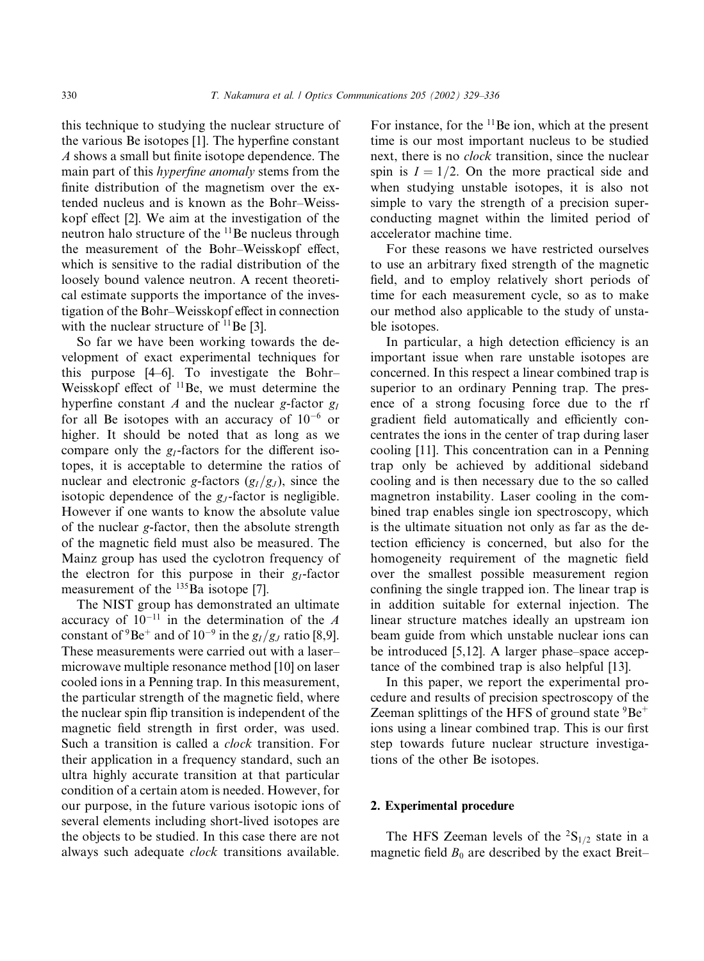this technique to studying the nuclear structure of the various Be isotopes [1]. The hyperfine constant A shows a small but finite isotope dependence. The main part of this *hyperfine anomaly* stems from the finite distribution of the magnetism over the extended nucleus and is known as the Bohr–Weisskopf effect [2]. We aim at the investigation of the neutron halo structure of the  $11$ Be nucleus through the measurement of the Bohr–Weisskopf effect, which is sensitive to the radial distribution of the loosely bound valence neutron. A recent theoretical estimate supports the importance of the investigation of the Bohr–Weisskopf effect in connection with the nuclear structure of  $^{11}$ Be [3].

So far we have been working towards the development of exact experimental techniques for this purpose [4–6]. To investigate the Bohr– Weisskopf effect of  $^{11}$ Be, we must determine the hyperfine constant A and the nuclear g-factor  $g_I$ for all Be isotopes with an accuracy of  $10^{-6}$  or higher. It should be noted that as long as we compare only the  $g_I$ -factors for the different isotopes, it is acceptable to determine the ratios of nuclear and electronic g-factors  $(g_I/g_J)$ , since the isotopic dependence of the  $g_J$ -factor is negligible. However if one wants to know the absolute value of the nuclear g-factor, then the absolute strength of the magnetic field must also be measured. The Mainz group has used the cyclotron frequency of the electron for this purpose in their  $g_I$ -factor measurement of the  $^{135}$ Ba isotope [7].

The NIST group has demonstrated an ultimate accuracy of  $10^{-11}$  in the determination of the A constant of  ${}^{9}Be^+$  and of  $10^{-9}$  in the  $g_I/g_J$  ratio [8,9]. These measurements were carried out with a laser– microwave multiple resonance method [10] on laser cooled ions in a Penning trap. In this measurement, the particular strength of the magnetic field, where the nuclear spin flip transition is independent of the magnetic field strength in first order, was used. Such a transition is called a *clock* transition. For their application in a frequency standard, such an ultra highly accurate transition at that particular condition of a certain atom is needed. However, for our purpose, in the future various isotopic ions of several elements including short-lived isotopes are the objects to be studied. In this case there are not always such adequate clock transitions available.

For instance, for the  $11$ Be ion, which at the present time is our most important nucleus to be studied next, there is no *clock* transition, since the nuclear spin is  $I = 1/2$ . On the more practical side and when studying unstable isotopes, it is also not simple to vary the strength of a precision superconducting magnet within the limited period of accelerator machine time.

For these reasons we have restricted ourselves to use an arbitrary fixed strength of the magnetic field, and to employ relatively short periods of time for each measurement cycle, so as to make our method also applicable to the study of unstable isotopes.

In particular, a high detection efficiency is an important issue when rare unstable isotopes are concerned. In this respect a linear combined trap is superior to an ordinary Penning trap. The presence of a strong focusing force due to the rf gradient field automatically and efficiently concentrates the ions in the center of trap during laser cooling [11]. This concentration can in a Penning trap only be achieved by additional sideband cooling and is then necessary due to the so called magnetron instability. Laser cooling in the combined trap enables single ion spectroscopy, which is the ultimate situation not only as far as the detection efficiency is concerned, but also for the homogeneity requirement of the magnetic field over the smallest possible measurement region confining the single trapped ion. The linear trap is in addition suitable for external injection. The linear structure matches ideally an upstream ion beam guide from which unstable nuclear ions can be introduced [5,12]. A larger phase–space acceptance of the combined trap is also helpful [13].

In this paper, we report the experimental procedure and results of precision spectroscopy of the Zeeman splittings of the HFS of ground state  ${}^{9}Be^{+}$ ions using a linear combined trap. This is our first step towards future nuclear structure investigations of the other Be isotopes.

# 2. Experimental procedure

The HFS Zeeman levels of the  ${}^{2}S_{1/2}$  state in a magnetic field  $B_0$  are described by the exact Breit–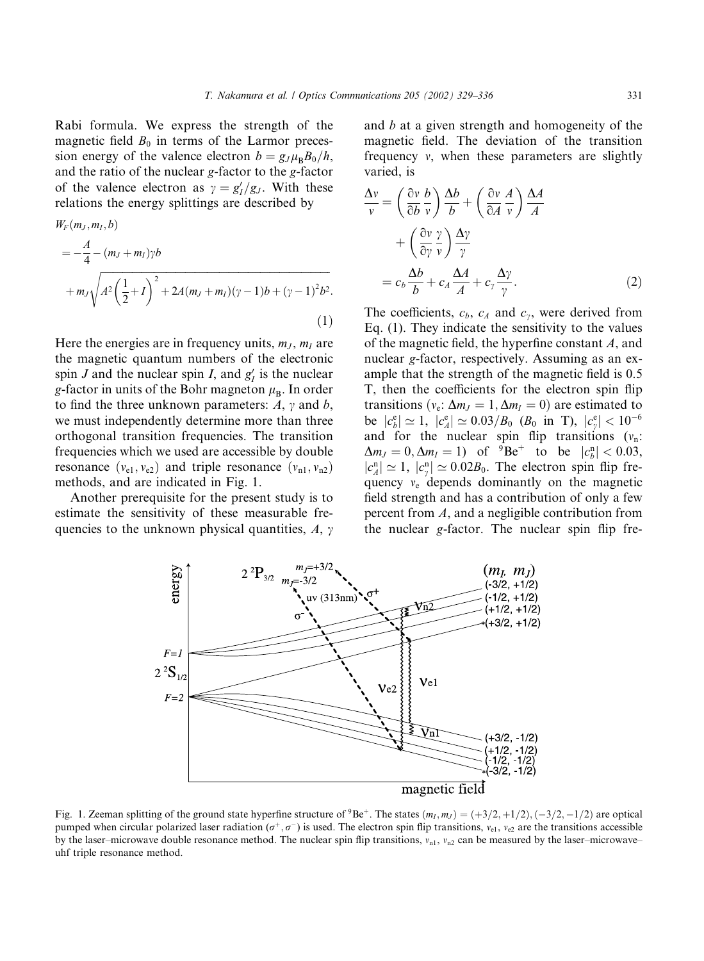Rabi formula. We express the strength of the magnetic field  $B_0$  in terms of the Larmor precession energy of the valence electron  $b = g_J \mu_B B_0/h$ , and the ratio of the nuclear g-factor to the g-factor of the valence electron as  $\gamma = g_I'/g_J$ . With these relations the energy splittings are described by

$$
W_F(m_J, m_I, b)
$$
  
=  $-\frac{A}{4} - (m_J + m_I) \gamma b$   
+  $m_J \sqrt{A^2 (\frac{1}{2} + I)^2 + 2A(m_J + m_I)(\gamma - 1)b + (\gamma - 1)^2 b^2}$ . (1)

Here the energies are in frequency units,  $m<sub>J</sub>$ ,  $m<sub>I</sub>$  are the magnetic quantum numbers of the electronic spin *J* and the nuclear spin *I*, and  $g'_{I}$  is the nuclear g-factor in units of the Bohr magneton  $\mu_{\rm B}$ . In order to find the three unknown parameters:  $A$ ,  $\gamma$  and  $b$ , we must independently determine more than three orthogonal transition frequencies. The transition frequencies which we used are accessible by double resonance  $(v_{e1}, v_{e2})$  and triple resonance  $(v_{n1}, v_{n2})$ methods, and are indicated in Fig. 1.

Another prerequisite for the present study is to estimate the sensitivity of these measurable frequencies to the unknown physical quantities,  $A$ ,  $\gamma$  and b at a given strength and homogeneity of the magnetic field. The deviation of the transition frequency  $v$ , when these parameters are slightly varied, is

$$
\frac{\Delta v}{v} = \left(\frac{\partial v}{\partial b} \frac{b}{v}\right) \frac{\Delta b}{b} + \left(\frac{\partial v}{\partial A} \frac{A}{v}\right) \frac{\Delta A}{A} \n+ \left(\frac{\partial v}{\partial y} \frac{\gamma}{v}\right) \frac{\Delta \gamma}{\gamma} \n= c_b \frac{\Delta b}{b} + c_A \frac{\Delta A}{A} + c_y \frac{\Delta \gamma}{\gamma}.
$$
\n(2)

The coefficients,  $c_b$ ,  $c_A$  and  $c_y$ , were derived from Eq. (1). They indicate the sensitivity to the values of the magnetic field, the hyperfine constant A, and nuclear g-factor, respectively. Assuming as an example that the strength of the magnetic field is 0.5 T, then the coefficients for the electron spin flip transitions ( $v_e$ :  $\Delta m_l = 1$ ,  $\Delta m_l = 0$ ) are estimated to be  $|c_b^e| \simeq 1$ ,  $|c_A^e| \simeq 0.03/B_0$  (B<sub>0</sub> in T),  $|c_{\gamma}^e| < 10^{-6}$ and for the nuclear spin flip transitions  $(v_n)$ :  $\Delta m_J = 0, \Delta m_I = 1$ ) of  ${}^{9}Be^+$  to be  $|c_b^n| < 0.03$ ,  $|c_A^n| \simeq 1$ ,  $|c_\gamma^n| \simeq 0.02B_0$ . The electron spin flip frequency  $v_e$  depends dominantly on the magnetic field strength and has a contribution of only a few percent from A, and a negligible contribution from the nuclear g-factor. The nuclear spin flip fre-



Fig. 1. Zeeman splitting of the ground state hyperfine structure of  $^{9}$ Be<sup>+</sup>. The states  $(m_l, m_l) = (+3/2, +1/2), (-3/2, -1/2)$  are optical pumped when circular polarized laser radiation  $(\sigma^+, \sigma^-)$  is used. The electron spin flip transitions,  $v_{e1}$ ,  $v_{e2}$  are the transitions accessible by the laser–microwave double resonance method. The nuclear spin flip transitions,  $v_{n1}$ ,  $v_{n2}$  can be measured by the laser–microwave– uhf triple resonance method.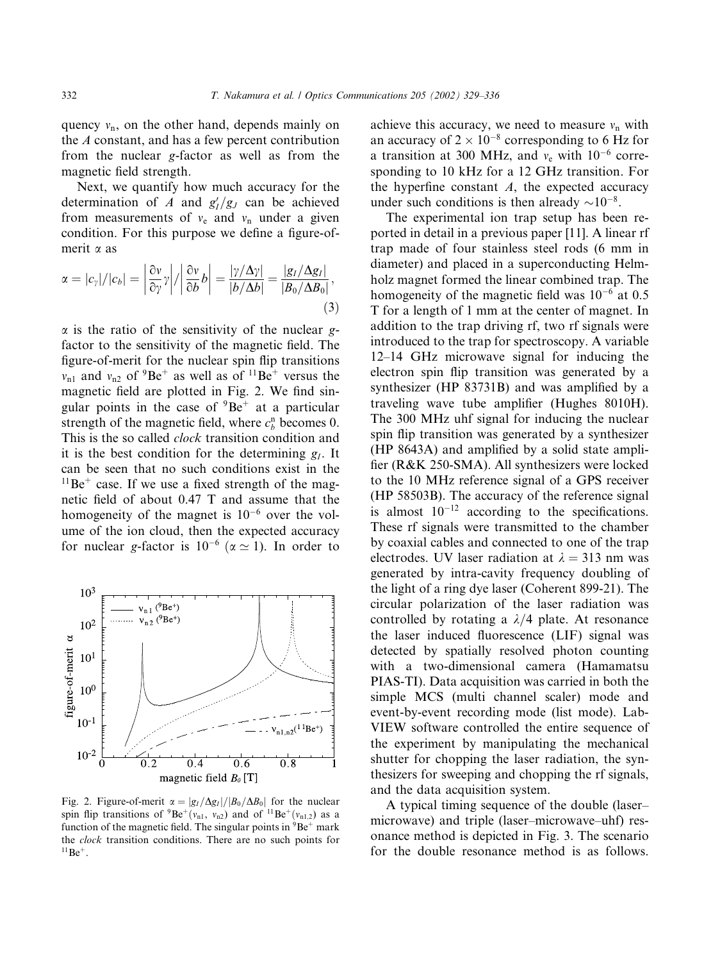quency  $v_n$ , on the other hand, depends mainly on the A constant, and has a few percent contribution from the nuclear g-factor as well as from the magnetic field strength.

Next, we quantify how much accuracy for the determination of A and  $g_I'/g_J$  can be achieved from measurements of  $v_e$  and  $v_n$  under a given condition. For this purpose we define a figure-ofmerit  $\alpha$  as

$$
\alpha = |c_{\gamma}|/|c_b| = \left| \frac{\partial v}{\partial \gamma} \gamma \right| / \left| \frac{\partial v}{\partial b} b \right| = \frac{|\gamma/\Delta \gamma|}{|b/\Delta b|} = \frac{|g_I/\Delta g_I|}{|B_0/\Delta B_0|},\tag{3}
$$

 $\alpha$  is the ratio of the sensitivity of the nuclear gfactor to the sensitivity of the magnetic field. The figure-of-merit for the nuclear spin flip transitions  $v_{n1}$  and  $v_{n2}$  of  ${}^{9}Be^+$  as well as of  ${}^{11}Be^+$  versus the magnetic field are plotted in Fig. 2. We find singular points in the case of  $9Be^+$  at a particular strength of the magnetic field, where  $c_b^n$  becomes 0. This is the so called *clock* transition condition and it is the best condition for the determining  $g<sub>I</sub>$ . It can be seen that no such conditions exist in the  $11Be<sup>+</sup>$  case. If we use a fixed strength of the magnetic field of about 0.47 T and assume that the homogeneity of the magnet is  $10^{-6}$  over the volume of the ion cloud, then the expected accuracy for nuclear g-factor is  $10^{-6}$  ( $\alpha \approx 1$ ). In order to



Fig. 2. Figure-of-merit  $\alpha = |g_I/\Delta g_I|/|B_0/\Delta B_0|$  for the nuclear spin flip transitions of  $^{9}Be^{+}(v_{n1}, v_{n2})$  and of  $^{11}Be^{+}(v_{n1,2})$  as a function of the magnetic field. The singular points in  ${}^{9}Be^+$  mark the clock transition conditions. There are no such points for  $11Be^{+}$ .

achieve this accuracy, we need to measure  $v_n$  with an accuracy of  $2 \times 10^{-8}$  corresponding to 6 Hz for a transition at 300 MHz, and  $v_e$  with  $10^{-6}$  corresponding to 10 kHz for a 12 GHz transition. For the hyperfine constant  $A$ , the expected accuracy under such conditions is then already  $\sim 10^{-8}$ .

The experimental ion trap setup has been reported in detail in a previous paper [11]. A linear rf trap made of four stainless steel rods (6 mm in diameter) and placed in a superconducting Helmholz magnet formed the linear combined trap. The homogeneity of the magnetic field was  $10^{-6}$  at 0.5 T for a length of 1 mm at the center of magnet. In addition to the trap driving rf, two rf signals were introduced to the trap for spectroscopy. A variable 12–14 GHz microwave signal for inducing the electron spin flip transition was generated by a synthesizer (HP 83731B) and was amplified by a traveling wave tube amplifier (Hughes 8010H). The 300 MHz uhf signal for inducing the nuclear spin flip transition was generated by a synthesizer (HP 8643A) and amplified by a solid state amplifier (R&K 250-SMA). All synthesizers were locked to the 10 MHz reference signal of a GPS receiver (HP 58503B). The accuracy of the reference signal is almost  $10^{-12}$  according to the specifications. These rf signals were transmitted to the chamber by coaxial cables and connected to one of the trap electrodes. UV laser radiation at  $\lambda = 313$  nm was generated by intra-cavity frequency doubling of the light of a ring dye laser (Coherent 899-21). The circular polarization of the laser radiation was controlled by rotating a  $\lambda/4$  plate. At resonance the laser induced fluorescence (LIF) signal was detected by spatially resolved photon counting with a two-dimensional camera (Hamamatsu PIAS-TI). Data acquisition was carried in both the simple MCS (multi channel scaler) mode and event-by-event recording mode (list mode). Lab-VIEW software controlled the entire sequence of the experiment by manipulating the mechanical shutter for chopping the laser radiation, the synthesizers for sweeping and chopping the rf signals, and the data acquisition system.

A typical timing sequence of the double (laser– microwave) and triple (laser–microwave–uhf) resonance method is depicted in Fig. 3. The scenario for the double resonance method is as follows.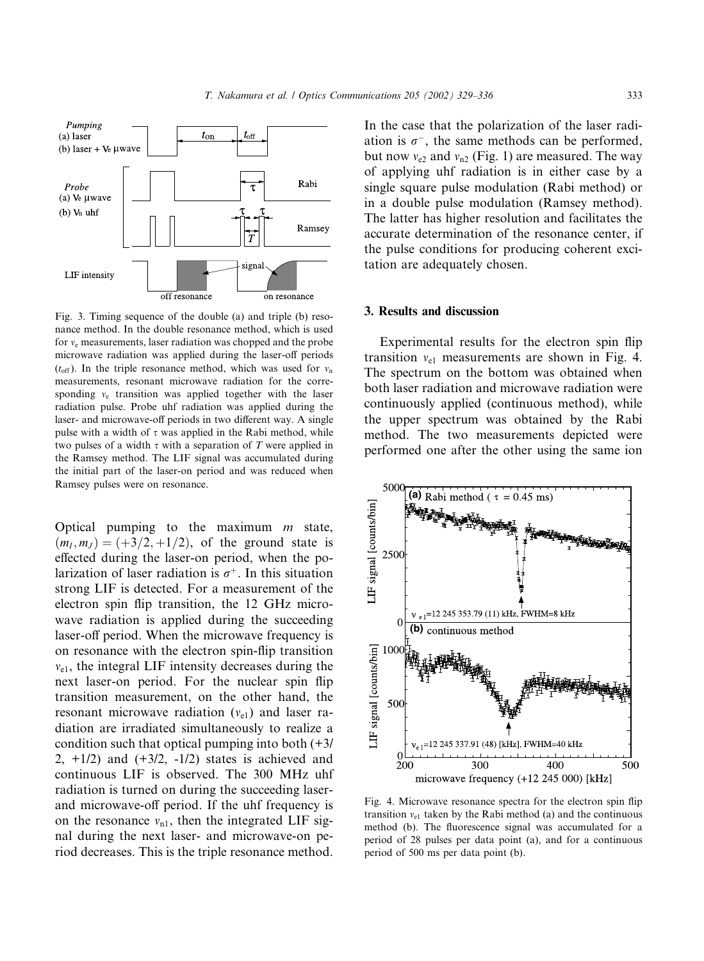

Fig. 3. Timing sequence of the double (a) and triple (b) resonance method. In the double resonance method, which is used for  $v_e$  measurements, laser radiation was chopped and the probe microwave radiation was applied during the laser-off periods  $(t<sub>off</sub>)$ . In the triple resonance method, which was used for  $v<sub>n</sub>$ measurements, resonant microwave radiation for the corresponding  $v_e$  transition was applied together with the laser radiation pulse. Probe uhf radiation was applied during the laser- and microwave-off periods in two different way. A single pulse with a width of  $\tau$  was applied in the Rabi method, while two pulses of a width  $\tau$  with a separation of T were applied in the Ramsey method. The LIF signal was accumulated during the initial part of the laser-on period and was reduced when Ramsey pulses were on resonance.

Optical pumping to the maximum  $m$  state,  $(m_I, m_J) = (+3/2, +1/2)$ , of the ground state is effected during the laser-on period, when the polarization of laser radiation is  $\sigma^+$ . In this situation strong LIF is detected. For a measurement of the electron spin flip transition, the 12 GHz microwave radiation is applied during the succeeding laser-off period. When the microwave frequency is on resonance with the electron spin-flip transition  $v_{\text{el}}$ , the integral LIF intensity decreases during the next laser-on period. For the nuclear spin flip transition measurement, on the other hand, the resonant microwave radiation  $(v_{el})$  and laser radiation are irradiated simultaneously to realize a condition such that optical pumping into both  $(+3)$ 2,  $\pm$ 1/2) and  $(\pm 3/2, -1/2)$  states is achieved and continuous LIF is observed. The 300 MHz uhf radiation is turned on during the succeeding laserand microwave-off period. If the uhf frequency is on the resonance  $v_{n1}$ , then the integrated LIF signal during the next laser- and microwave-on period decreases. This is the triple resonance method.

In the case that the polarization of the laser radiation is  $\sigma^-$ , the same methods can be performed, but now  $v_{e2}$  and  $v_{n2}$  (Fig. 1) are measured. The way of applying uhf radiation is in either case by a single square pulse modulation (Rabi method) or in a double pulse modulation (Ramsey method). The latter has higher resolution and facilitates the accurate determination of the resonance center, if the pulse conditions for producing coherent excitation are adequately chosen.

#### 3. Results and discussion

Experimental results for the electron spin flip transition  $v_{el}$  measurements are shown in Fig. 4. The spectrum on the bottom was obtained when both laser radiation and microwave radiation were continuously applied (continuous method), while the upper spectrum was obtained by the Rabi method. The two measurements depicted were performed one after the other using the same ion



Fig. 4. Microwave resonance spectra for the electron spin flip transition  $v_{el}$  taken by the Rabi method (a) and the continuous method (b). The fluorescence signal was accumulated for a period of 28 pulses per data point (a), and for a continuous period of 500 ms per data point (b).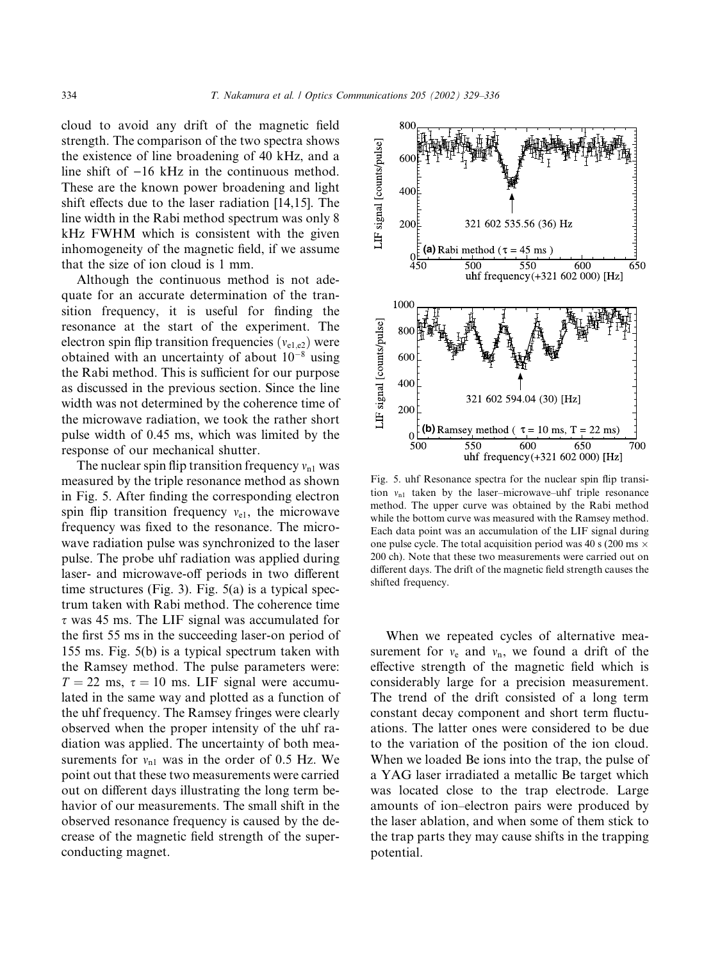cloud to avoid any drift of the magnetic field strength. The comparison of the two spectra shows the existence of line broadening of 40 kHz, and a line shift of  $-16$  kHz in the continuous method. These are the known power broadening and light shift effects due to the laser radiation [14,15]. The line width in the Rabi method spectrum was only 8 kHz FWHM which is consistent with the given inhomogeneity of the magnetic field, if we assume that the size of ion cloud is 1 mm.

Although the continuous method is not adequate for an accurate determination of the transition frequency, it is useful for finding the resonance at the start of the experiment. The electron spin flip transition frequencies  $(v_{el,e2})$  were obtained with an uncertainty of about  $10^{-8}$  using the Rabi method. This is sufficient for our purpose as discussed in the previous section. Since the line width was not determined by the coherence time of the microwave radiation, we took the rather short pulse width of 0.45 ms, which was limited by the response of our mechanical shutter.

The nuclear spin flip transition frequency  $v_{n1}$  was measured by the triple resonance method as shown in Fig. 5. After finding the corresponding electron spin flip transition frequency  $v_{el}$ , the microwave frequency was fixed to the resonance. The microwave radiation pulse was synchronized to the laser pulse. The probe uhf radiation was applied during laser- and microwave-off periods in two different time structures (Fig. 3). Fig. 5(a) is a typical spectrum taken with Rabi method. The coherence time  $\tau$  was 45 ms. The LIF signal was accumulated for the first 55 ms in the succeeding laser-on period of 155 ms. Fig. 5(b) is a typical spectrum taken with the Ramsey method. The pulse parameters were:  $T = 22$  ms,  $\tau = 10$  ms. LIF signal were accumulated in the same way and plotted as a function of the uhf frequency. The Ramsey fringes were clearly observed when the proper intensity of the uhf radiation was applied. The uncertainty of both measurements for  $v_{n1}$  was in the order of 0.5 Hz. We point out that these two measurements were carried out on different days illustrating the long term behavior of our measurements. The small shift in the observed resonance frequency is caused by the decrease of the magnetic field strength of the superconducting magnet.



Fig. 5. uhf Resonance spectra for the nuclear spin flip transition  $v_{n1}$  taken by the laser–microwave–uhf triple resonance method. The upper curve was obtained by the Rabi method while the bottom curve was measured with the Ramsey method. Each data point was an accumulation of the LIF signal during one pulse cycle. The total acquisition period was 40 s (200 ms  $\times$ 200 ch). Note that these two measurements were carried out on different days. The drift of the magnetic field strength causes the shifted frequency.

When we repeated cycles of alternative measurement for  $v_e$  and  $v_n$ , we found a drift of the effective strength of the magnetic field which is considerably large for a precision measurement. The trend of the drift consisted of a long term constant decay component and short term fluctuations. The latter ones were considered to be due to the variation of the position of the ion cloud. When we loaded Be ions into the trap, the pulse of a YAG laser irradiated a metallic Be target which was located close to the trap electrode. Large amounts of ion–electron pairs were produced by the laser ablation, and when some of them stick to the trap parts they may cause shifts in the trapping potential.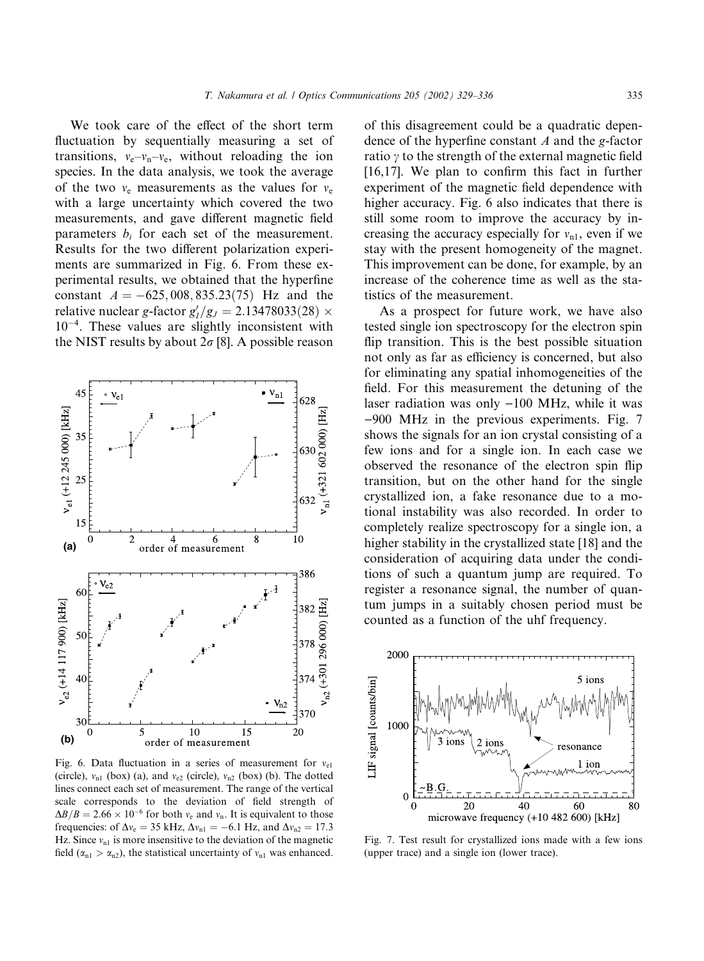We took care of the effect of the short term fluctuation by sequentially measuring a set of transitions,  $v_e - v_n - v_e$ , without reloading the ion species. In the data analysis, we took the average of the two  $v_e$  measurements as the values for  $v_e$ with a large uncertainty which covered the two measurements, and gave different magnetic field parameters  $b_i$  for each set of the measurement. Results for the two different polarization experiments are summarized in Fig. 6. From these experimental results, we obtained that the hyperfine constant  $A = -625,008,835.23(75)$  Hz and the relative nuclear g-factor  $g_I'/g_J = 2.13478033(28) \times$  $10^{-4}$ . These values are slightly inconsistent with the NIST results by about  $2\sigma$  [8]. A possible reason



Fig. 6. Data fluctuation in a series of measurement for  $v_{el}$ (circle),  $v_{n1}$  (box) (a), and  $v_{e2}$  (circle),  $v_{n2}$  (box) (b). The dotted lines connect each set of measurement. The range of the vertical scale corresponds to the deviation of field strength of  $\Delta B/B = 2.66 \times 10^{-6}$  for both  $v_e$  and  $v_n$ . It is equivalent to those frequencies: of  $\Delta v_e = 35$  kHz,  $\Delta v_{n1} = -6.1$  Hz, and  $\Delta v_{n2} = 17.3$ Hz. Since  $v_{n1}$  is more insensitive to the deviation of the magnetic field ( $\alpha_{n1} > \alpha_{n2}$ ), the statistical uncertainty of  $v_{n1}$  was enhanced.

of this disagreement could be a quadratic dependence of the hyperfine constant A and the g-factor ratio  $\gamma$  to the strength of the external magnetic field [16,17]. We plan to confirm this fact in further experiment of the magnetic field dependence with higher accuracy. Fig. 6 also indicates that there is still some room to improve the accuracy by increasing the accuracy especially for  $v_{n1}$ , even if we stay with the present homogeneity of the magnet. This improvement can be done, for example, by an increase of the coherence time as well as the statistics of the measurement.

As a prospect for future work, we have also tested single ion spectroscopy for the electron spin flip transition. This is the best possible situation not only as far as efficiency is concerned, but also for eliminating any spatial inhomogeneities of the field. For this measurement the detuning of the laser radiation was only  $-100$  MHz, while it was  $-900$  MHz in the previous experiments. Fig. 7 shows the signals for an ion crystal consisting of a few ions and for a single ion. In each case we observed the resonance of the electron spin flip transition, but on the other hand for the single crystallized ion, a fake resonance due to a motional instability was also recorded. In order to completely realize spectroscopy for a single ion, a higher stability in the crystallized state [18] and the consideration of acquiring data under the conditions of such a quantum jump are required. To register a resonance signal, the number of quantum jumps in a suitably chosen period must be counted as a function of the uhf frequency.



Fig. 7. Test result for crystallized ions made with a few ions (upper trace) and a single ion (lower trace).